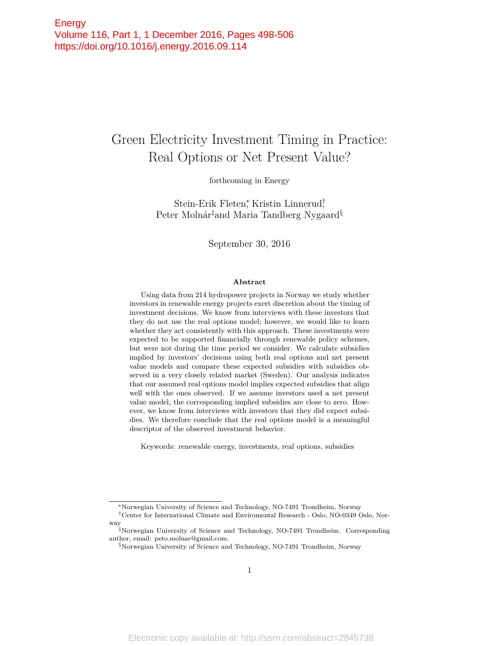# Green Electricity Investment Timing in Practice: Real Options or Net Present Value?

forthcoming in Energy

Stein-Erik Fleten<sup>\*</sup>, Kristin Linnerud<sup>†</sup> Peter Molnár‡and Maria Tandberg Nygaard§

September 30, 2016

#### **Abstract**

Using data from 214 hydropower projects in Norway we study whether investors in renewable energy projects exert discretion about the timing of investment decisions. We know from interviews with these investors that they do not use the real options model; however, we would like to learn whether they act consistently with this approach. These investments were expected to be supported financially through renewable policy schemes, but were not during the time period we consider. We calculate subsidies implied by investors' decisions using both real options and net present value models and compare these expected subsidies with subsidies observed in a very closely related market (Sweden). Our analysis indicates that our assumed real options model implies expected subsidies that align well with the ones observed. If we assume investors used a net present value model, the corresponding implied subsidies are close to zero. However, we know from interviews with investors that they did expect subsidies. We therefore conclude that the real options model is a meaningful descriptor of the observed investment behavior.

Keywords: renewable energy, investments, real options, subsidies

<sup>∗</sup>Norwegian University of Science and Technology, NO-7491 Trondheim, Norway

<sup>†</sup>Center for International Climate and Enviromental Research - Oslo, NO-0349 Oslo, Norway

<sup>‡</sup>Norwegian University of Science and Technology, NO-7491 Trondheim. Corresponding author, email: peto.molnar@gmail.com.

<sup>§</sup>Norwegian University of Science and Technology, NO-7491 Trondheim, Norway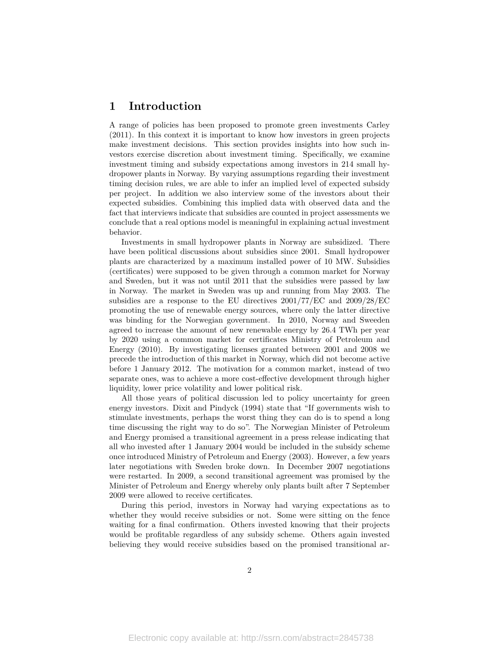# **1 Introduction**

A range of policies has been proposed to promote green investments Carley (2011). In this context it is important to know how investors in green projects make investment decisions. This section provides insights into how such investors exercise discretion about investment timing. Specifically, we examine investment timing and subsidy expectations among investors in 214 small hydropower plants in Norway. By varying assumptions regarding their investment timing decision rules, we are able to infer an implied level of expected subsidy per project. In addition we also interview some of the investors about their expected subsidies. Combining this implied data with observed data and the fact that interviews indicate that subsidies are counted in project assessments we conclude that a real options model is meaningful in explaining actual investment behavior.

Investments in small hydropower plants in Norway are subsidized. There have been political discussions about subsidies since 2001. Small hydropower plants are characterized by a maximum installed power of 10 MW. Subsidies (certificates) were supposed to be given through a common market for Norway and Sweden, but it was not until 2011 that the subsidies were passed by law in Norway. The market in Sweden was up and running from May 2003. The subsidies are a response to the EU directives 2001/77/EC and 2009/28/EC promoting the use of renewable energy sources, where only the latter directive was binding for the Norwegian government. In 2010, Norway and Sweeden agreed to increase the amount of new renewable energy by 26.4 TWh per year by 2020 using a common market for certificates Ministry of Petroleum and Energy (2010). By investigating licenses granted between 2001 and 2008 we precede the introduction of this market in Norway, which did not become active before 1 January 2012. The motivation for a common market, instead of two separate ones, was to achieve a more cost-effective development through higher liquidity, lower price volatility and lower political risk.

All those years of political discussion led to policy uncertainty for green energy investors. Dixit and Pindyck (1994) state that "If governments wish to stimulate investments, perhaps the worst thing they can do is to spend a long time discussing the right way to do so". The Norwegian Minister of Petroleum and Energy promised a transitional agreement in a press release indicating that all who invested after 1 January 2004 would be included in the subsidy scheme once introduced Ministry of Petroleum and Energy (2003). However, a few years later negotiations with Sweden broke down. In December 2007 negotiations were restarted. In 2009, a second transitional agreement was promised by the Minister of Petroleum and Energy whereby only plants built after 7 September 2009 were allowed to receive certificates.

During this period, investors in Norway had varying expectations as to whether they would receive subsidies or not. Some were sitting on the fence waiting for a final confirmation. Others invested knowing that their projects would be profitable regardless of any subsidy scheme. Others again invested believing they would receive subsidies based on the promised transitional ar-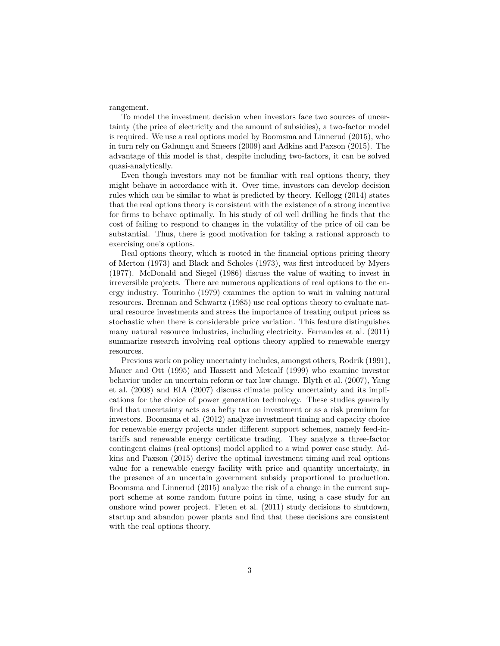### rangement.

To model the investment decision when investors face two sources of uncertainty (the price of electricity and the amount of subsidies), a two-factor model is required. We use a real options model by Boomsma and Linnerud (2015), who in turn rely on Gahungu and Smeers (2009) and Adkins and Paxson (2015). The advantage of this model is that, despite including two-factors, it can be solved quasi-analytically.

Even though investors may not be familiar with real options theory, they might behave in accordance with it. Over time, investors can develop decision rules which can be similar to what is predicted by theory. Kellogg (2014) states that the real options theory is consistent with the existence of a strong incentive for firms to behave optimally. In his study of oil well drilling he finds that the cost of failing to respond to changes in the volatility of the price of oil can be substantial. Thus, there is good motivation for taking a rational approach to exercising one's options.

Real options theory, which is rooted in the financial options pricing theory of Merton (1973) and Black and Scholes (1973), was first introduced by Myers (1977). McDonald and Siegel (1986) discuss the value of waiting to invest in irreversible projects. There are numerous applications of real options to the energy industry. Tourinho (1979) examines the option to wait in valuing natural resources. Brennan and Schwartz (1985) use real options theory to evaluate natural resource investments and stress the importance of treating output prices as stochastic when there is considerable price variation. This feature distinguishes many natural resource industries, including electricity. Fernandes et al. (2011) summarize research involving real options theory applied to renewable energy resources.

Previous work on policy uncertainty includes, amongst others, Rodrik (1991), Mauer and Ott (1995) and Hassett and Metcalf (1999) who examine investor behavior under an uncertain reform or tax law change. Blyth et al. (2007), Yang et al. (2008) and EIA (2007) discuss climate policy uncertainty and its implications for the choice of power generation technology. These studies generally find that uncertainty acts as a hefty tax on investment or as a risk premium for investors. Boomsma et al. (2012) analyze investment timing and capacity choice for renewable energy projects under different support schemes, namely feed-intariffs and renewable energy certificate trading. They analyze a three-factor contingent claims (real options) model applied to a wind power case study. Adkins and Paxson (2015) derive the optimal investment timing and real options value for a renewable energy facility with price and quantity uncertainty, in the presence of an uncertain government subsidy proportional to production. Boomsma and Linnerud (2015) analyze the risk of a change in the current support scheme at some random future point in time, using a case study for an onshore wind power project. Fleten et al. (2011) study decisions to shutdown, startup and abandon power plants and find that these decisions are consistent with the real options theory.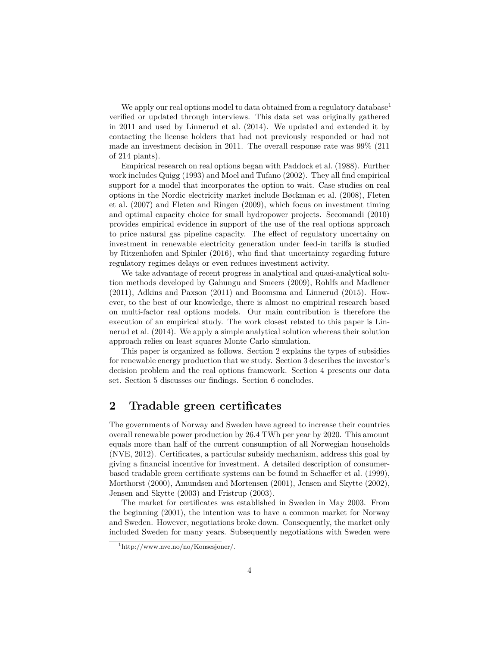We apply our real options model to data obtained from a regulatory database<sup>1</sup> verified or updated through interviews. This data set was originally gathered in 2011 and used by Linnerud et al. (2014). We updated and extended it by contacting the license holders that had not previously responded or had not made an investment decision in 2011. The overall response rate was 99% (211 of 214 plants).

Empirical research on real options began with Paddock et al. (1988). Further work includes Quigg (1993) and Moel and Tufano (2002). They all find empirical support for a model that incorporates the option to wait. Case studies on real options in the Nordic electricity market include Bøckman et al. (2008), Fleten et al. (2007) and Fleten and Ringen (2009), which focus on investment timing and optimal capacity choice for small hydropower projects. Secomandi (2010) provides empirical evidence in support of the use of the real options approach to price natural gas pipeline capacity. The effect of regulatory uncertainy on investment in renewable electricity generation under feed-in tariffs is studied by Ritzenhofen and Spinler (2016), who find that uncertainty regarding future regulatory regimes delays or even reduces investment activity.

We take advantage of recent progress in analytical and quasi-analytical solution methods developed by Gahungu and Smeers (2009), Rohlfs and Madlener (2011), Adkins and Paxson (2011) and Boomsma and Linnerud (2015). However, to the best of our knowledge, there is almost no empirical research based on multi-factor real options models. Our main contribution is therefore the execution of an empirical study. The work closest related to this paper is Linnerud et al. (2014). We apply a simple analytical solution whereas their solution approach relies on least squares Monte Carlo simulation.

This paper is organized as follows. Section 2 explains the types of subsidies for renewable energy production that we study. Section 3 describes the investor's decision problem and the real options framework. Section 4 presents our data set. Section 5 discusses our findings. Section 6 concludes.

# **2 Tradable green certificates**

The governments of Norway and Sweden have agreed to increase their countries overall renewable power production by 26.4 TWh per year by 2020. This amount equals more than half of the current consumption of all Norwegian households (NVE, 2012). Certificates, a particular subsidy mechanism, address this goal by giving a financial incentive for investment. A detailed description of consumerbased tradable green certificate systems can be found in Schaeffer et al. (1999), Morthorst (2000), Amundsen and Mortensen (2001), Jensen and Skytte (2002), Jensen and Skytte (2003) and Fristrup (2003).

The market for certificates was established in Sweden in May 2003. From the beginning (2001), the intention was to have a common market for Norway and Sweden. However, negotiations broke down. Consequently, the market only included Sweden for many years. Subsequently negotiations with Sweden were

<sup>1</sup>http://www.nve.no/no/Konsesjoner/.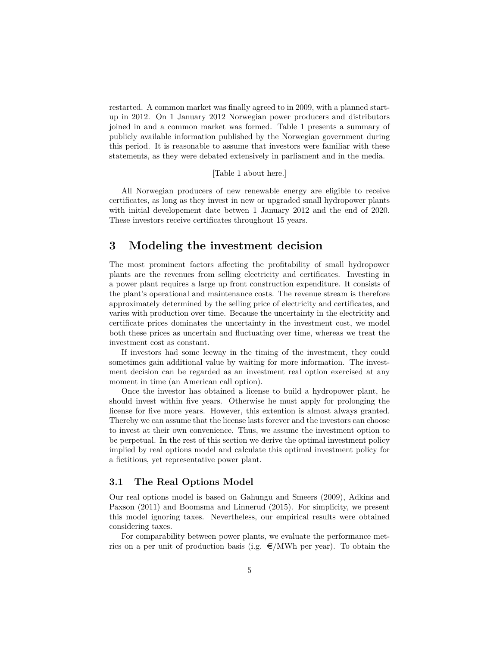restarted. A common market was finally agreed to in 2009, with a planned startup in 2012. On 1 January 2012 Norwegian power producers and distributors joined in and a common market was formed. Table 1 presents a summary of publicly available information published by the Norwegian government during this period. It is reasonable to assume that investors were familiar with these statements, as they were debated extensively in parliament and in the media.

### [Table 1 about here.]

All Norwegian producers of new renewable energy are eligible to receive certificates, as long as they invest in new or upgraded small hydropower plants with initial developement date betwen 1 January 2012 and the end of 2020. These investors receive certificates throughout 15 years.

# **3 Modeling the investment decision**

The most prominent factors affecting the profitability of small hydropower plants are the revenues from selling electricity and certificates. Investing in a power plant requires a large up front construction expenditure. It consists of the plant's operational and maintenance costs. The revenue stream is therefore approximately determined by the selling price of electricity and certificates, and varies with production over time. Because the uncertainty in the electricity and certificate prices dominates the uncertainty in the investment cost, we model both these prices as uncertain and fluctuating over time, whereas we treat the investment cost as constant.

If investors had some leeway in the timing of the investment, they could sometimes gain additional value by waiting for more information. The investment decision can be regarded as an investment real option exercised at any moment in time (an American call option).

Once the investor has obtained a license to build a hydropower plant, he should invest within five years. Otherwise he must apply for prolonging the license for five more years. However, this extention is almost always granted. Thereby we can assume that the license lasts forever and the investors can choose to invest at their own convenience. Thus, we assume the investment option to be perpetual. In the rest of this section we derive the optimal investment policy implied by real options model and calculate this optimal investment policy for a fictitious, yet representative power plant.

### **3.1 The Real Options Model**

Our real options model is based on Gahungu and Smeers (2009), Adkins and Paxson (2011) and Boomsma and Linnerud (2015). For simplicity, we present this model ignoring taxes. Nevertheless, our empirical results were obtained considering taxes.

For comparability between power plants, we evaluate the performance metrics on a per unit of production basis (i.g.  $\epsilon/MWh$  per year). To obtain the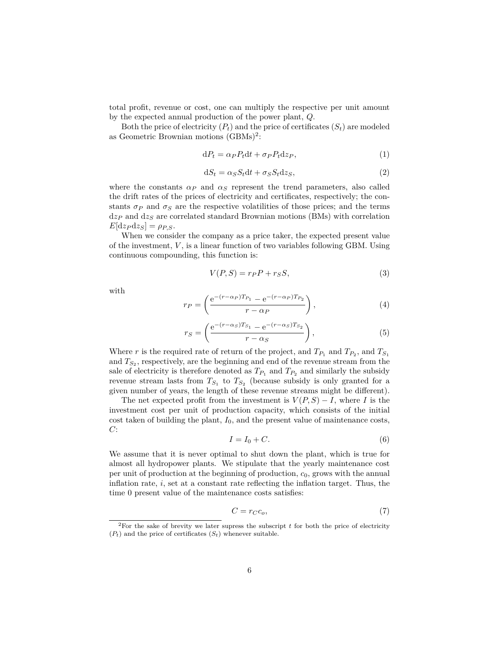total profit, revenue or cost, one can multiply the respective per unit amount by the expected annual production of the power plant, *Q*.

Both the price of electricity  $(P_t)$  and the price of certificates  $(S_t)$  are modeled as Geometric Brownian motions  $(GBMs)^2$ :

$$
dP_t = \alpha_P P_t dt + \sigma_P P_t dz_P, \qquad (1)
$$

$$
dS_t = \alpha_S S_t dt + \sigma_S S_t dz_S,
$$
\n(2)

where the constants  $\alpha_P$  and  $\alpha_S$  represent the trend parameters, also called the drift rates of the prices of electricity and certificates, respectively; the constants  $\sigma_P$  and  $\sigma_S$  are the respective volatilities of those prices; and the terms d*z<sup>P</sup>* and d*z<sup>S</sup>* are correlated standard Brownian motions (BMs) with correlation  $E[\text{d}z_P \text{d}z_S] = \rho_{P,S}$ .

When we consider the company as a price taker, the expected present value of the investment, *V* , is a linear function of two variables following GBM. Using continuous compounding, this function is:

$$
V(P,S) = r_P P + r_S S,\t\t(3)
$$

with

$$
r_P = \left(\frac{e^{-(r-\alpha_P)T_{P_1}} - e^{-(r-\alpha_P)T_{P_2}}}{r-\alpha_P}\right),
$$
\n(4)

$$
r_S = \left(\frac{e^{-(r-\alpha_S)T_{S_1}} - e^{-(r-\alpha_S)T_{S_2}}}{r-\alpha_S}\right),
$$
\n(5)

Where *r* is the required rate of return of the project, and  $T_{P_1}$  and  $T_{P_2}$ , and  $T_{S_1}$ and  $T_{S_2}$ , respectively, are the beginning and end of the revenue stream from the sale of electricity is therefore denoted as  $T_{P_1}$  and  $T_{P_2}$  and similarly the subsidy revenue stream lasts from  $T_{S_1}$  to  $T_{S_2}$  (because subsidy is only granted for a given number of years, the length of these revenue streams might be different).

The net expected profit from the investment is  $V(P, S) - I$ , where *I* is the investment cost per unit of production capacity, which consists of the initial cost taken of building the plant, *I*0, and the present value of maintenance costs, *C*:

$$
I = I_0 + C.\t\t(6)
$$

We assume that it is never optimal to shut down the plant, which is true for almost all hydropower plants. We stipulate that the yearly maintenance cost per unit of production at the beginning of production, *c*0, grows with the annual inflation rate, *i*, set at a constant rate reflecting the inflation target. Thus, the time 0 present value of the maintenance costs satisfies:

$$
C = r_C c_o,\tag{7}
$$

<sup>&</sup>lt;sup>2</sup>For the sake of brevity we later supress the subscript  $t$  for both the price of electricity  $(P_t)$  and the price of certificates  $(S_t)$  whenever suitable.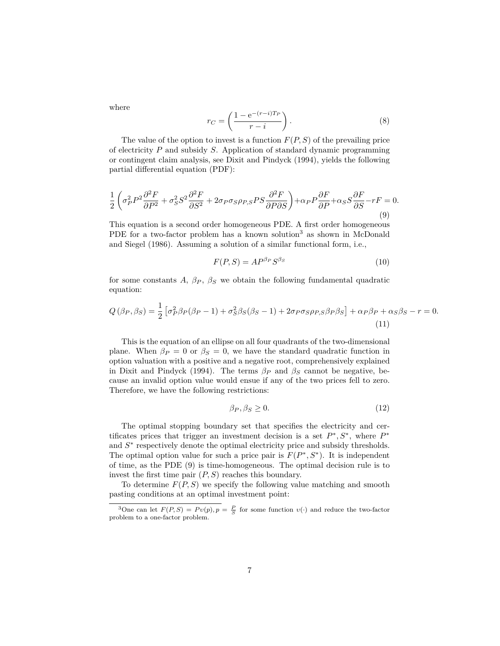where

$$
r_C = \left(\frac{1 - e^{-(r-i)T_P}}{r-i}\right). \tag{8}
$$

The value of the option to invest is a function *F*(*P, S*) of the prevailing price of electricity *P* and subsidy *S*. Application of standard dynamic programming or contingent claim analysis, see Dixit and Pindyck (1994), yields the following partial differential equation (PDF):

$$
\frac{1}{2}\left(\sigma_P^2 P^2 \frac{\partial^2 F}{\partial P^2} + \sigma_S^2 S^2 \frac{\partial^2 F}{\partial S^2} + 2\sigma_P \sigma_S \rho_{P,S} PS \frac{\partial^2 F}{\partial P \partial S}\right) + \alpha_P P \frac{\partial F}{\partial P} + \alpha_S S \frac{\partial F}{\partial S} - rF = 0.
$$
\n(9)

This equation is a second order homogeneous PDE. A first order homogeneous PDE for a two-factor problem has a known solution<sup>3</sup> as shown in McDonald and Siegel (1986). Assuming a solution of a similar functional form, i.e.,

$$
F(P,S) = AP^{\beta_P} S^{\beta_S} \tag{10}
$$

for some constants  $A$ ,  $\beta_P$ ,  $\beta_S$  we obtain the following fundamental quadratic equation:

$$
Q(\beta_P, \beta_S) = \frac{1}{2} \left[ \sigma_P^2 \beta_P (\beta_P - 1) + \sigma_S^2 \beta_S (\beta_S - 1) + 2 \sigma_P \sigma_S \rho_{P,S} \beta_P \beta_S \right] + \alpha_P \beta_P + \alpha_S \beta_S - r = 0.
$$
\n(11)

This is the equation of an ellipse on all four quadrants of the two-dimensional plane. When  $\beta_P = 0$  or  $\beta_S = 0$ , we have the standard quadratic function in option valuation with a positive and a negative root, comprehensively explained in Dixit and Pindyck (1994). The terms  $\beta_P$  and  $\beta_S$  cannot be negative, because an invalid option value would ensue if any of the two prices fell to zero. Therefore, we have the following restrictions:

$$
\beta_P, \beta_S \ge 0. \tag{12}
$$

The optimal stopping boundary set that specifies the electricity and certificates prices that trigger an investment decision is a set  $P^*, S^*$ , where  $P^*$ and  $S$ <sup>\*</sup> respectively denote the optimal electricity price and subsidy thresholds. The optimal option value for such a price pair is  $F(P^*, S^*)$ . It is independent of time, as the PDE (9) is time-homogeneous. The optimal decision rule is to invest the first time pair  $(P, S)$  reaches this boundary.

To determine  $F(P, S)$  we specify the following value matching and smooth pasting conditions at an optimal investment point:

<sup>&</sup>lt;sup>3</sup>One can let  $F(P, S) = Pv(p), p = \frac{P}{S}$  for some function  $v(\cdot)$  and reduce the two-factor problem to a one-factor problem.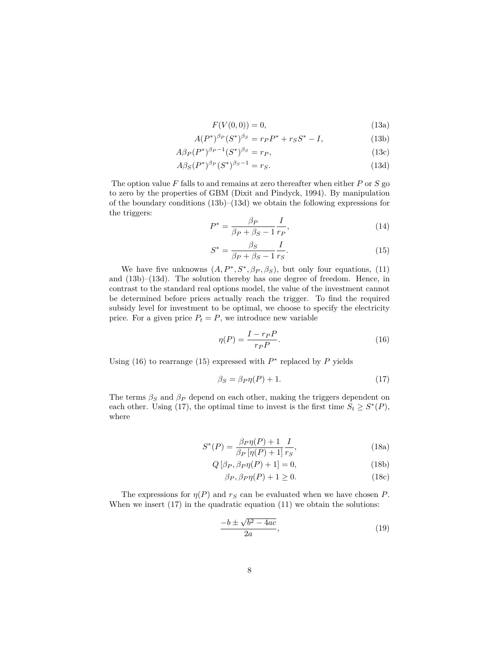$$
F(V(0,0)) = 0,\t(13a)
$$

$$
A(P^*)^{\beta_P}(S^*)^{\beta_S} = r_P P^* + r_S S^* - I,
$$
\n(13b)

$$
A\beta_P(P^*)^{\beta_P - 1}(S^*)^{\beta_S} = r_P,
$$
\n(13c)

$$
A\beta_S(P^*)^{\beta_P}(S^*)^{\beta_S - 1} = r_S.
$$
\n<sup>(13d)</sup>

The option value *F* falls to and remains at zero thereafter when either *P* or *S* go to zero by the properties of GBM (Dixit and Pindyck, 1994). By manipulation of the boundary conditions (13b)–(13d) we obtain the following expressions for the triggers:

$$
P^* = \frac{\beta_P}{\beta_P + \beta_S - 1} \frac{I}{r_P},\tag{14}
$$

$$
S^* = \frac{\beta_S}{\beta_P + \beta_S - 1} \frac{I}{r_S}.
$$
\n(15)

We have five unknowns  $(A, P^*, S^*, \beta_P, \beta_S)$ , but only four equations, (11) and (13b)–(13d). The solution thereby has one degree of freedom. Hence, in contrast to the standard real options model, the value of the investment cannot be determined before prices actually reach the trigger. To find the required subsidy level for investment to be optimal, we choose to specify the electricity price. For a given price  $P_t = P$ , we introduce new variable

$$
\eta(P) = \frac{I - r_P P}{r_P P}.\tag{16}
$$

Using (16) to rearrange (15) expressed with  $P^*$  replaced by  $P$  yields

$$
\beta_S = \beta_P \eta(P) + 1. \tag{17}
$$

The terms  $\beta_S$  and  $\beta_P$  depend on each other, making the triggers dependent on each other. Using (17), the optimal time to invest is the first time  $S_t \geq S^*(P)$ , where

$$
S^*(P) = \frac{\beta_P \eta(P) + 1}{\beta_P [\eta(P) + 1]} \frac{I}{r_S},
$$
\n(18a)

$$
Q\left[\beta_P, \beta_P \eta(P) + 1\right] = 0,\t(18b)
$$

$$
\beta_P, \beta_P \eta(P) + 1 \ge 0. \tag{18c}
$$

The expressions for  $\eta(P)$  and  $r_S$  can be evaluated when we have chosen *P*. When we insert  $(17)$  in the quadratic equation  $(11)$  we obtain the solutions:

$$
\frac{-b \pm \sqrt{b^2 - 4ac}}{2a},\tag{19}
$$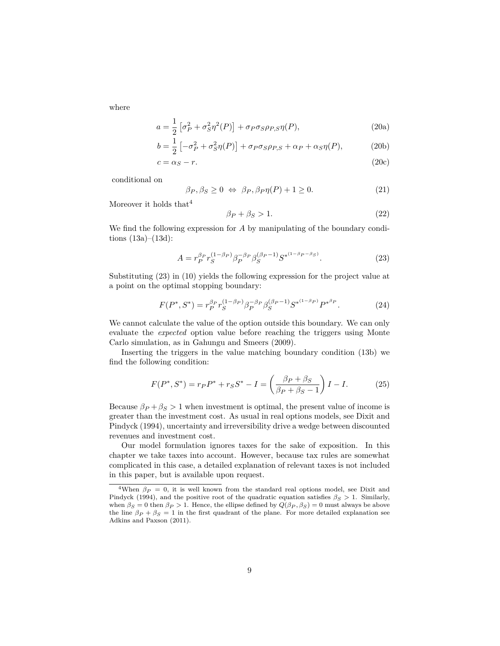where

$$
a = \frac{1}{2} \left[ \sigma_P^2 + \sigma_S^2 \eta^2(P) \right] + \sigma_P \sigma_S \rho_{P,S} \eta(P), \qquad (20a)
$$

$$
b = \frac{1}{2} \left[ -\sigma_P^2 + \sigma_S^2 \eta(P) \right] + \sigma_P \sigma_S \rho_{P,S} + \alpha_P + \alpha_S \eta(P), \tag{20b}
$$

$$
c = \alpha_S - r.\tag{20c}
$$

conditional on

$$
\beta_P, \beta_S \ge 0 \iff \beta_P, \beta_P \eta(P) + 1 \ge 0. \tag{21}
$$

Moreover it holds  $\mathrm{that}^4$ 

$$
\beta_P + \beta_S > 1. \tag{22}
$$

We find the following expression for *A* by manipulating of the boundary conditions  $(13a)–(13d)$ :

$$
A = r_P^{\beta_P} r_S^{(1-\beta_P)} \beta_P^{-\beta_P} \beta_S^{(\beta_P - 1)} S^{*^{(1-\beta_P - \beta_S)}}.
$$
\n(23)

Substituting (23) in (10) yields the following expression for the project value at a point on the optimal stopping boundary:

$$
F(P^*, S^*) = r_P^{\beta_P} r_S^{(1-\beta_P)} \beta_P^{-\beta_P} \beta_S^{(\beta_P - 1)} {S^*}^{(1-\beta_P)} {P^*}^{\beta_P}.
$$
 (24)

We cannot calculate the value of the option outside this boundary. We can only evaluate the *expected* option value before reaching the triggers using Monte Carlo simulation, as in Gahungu and Smeers (2009).

Inserting the triggers in the value matching boundary condition (13b) we find the following condition:

$$
F(P^*, S^*) = r_P P^* + r_S S^* - I = \left(\frac{\beta_P + \beta_S}{\beta_P + \beta_S - 1}\right) I - I.
$$
 (25)

Because  $\beta_P + \beta_S > 1$  when investment is optimal, the present value of income is greater than the investment cost. As usual in real options models, see Dixit and Pindyck (1994), uncertainty and irreversibility drive a wedge between discounted revenues and investment cost.

Our model formulation ignores taxes for the sake of exposition. In this chapter we take taxes into account. However, because tax rules are somewhat complicated in this case, a detailed explanation of relevant taxes is not included in this paper, but is available upon request.

<sup>&</sup>lt;sup>4</sup>When  $\beta_P = 0$ , it is well known from the standard real options model, see Dixit and Pindyck (1994), and the positive root of the quadratic equation satisfies  $\beta_S > 1$ . Similarly, when  $\beta_S = 0$  then  $\beta_P > 1$ . Hence, the ellipse defined by  $Q(\beta_P, \beta_S) = 0$  must always be above the line  $\beta_P + \beta_S = 1$  in the first quadrant of the plane. For more detailed explanation see Adkins and Paxson (2011).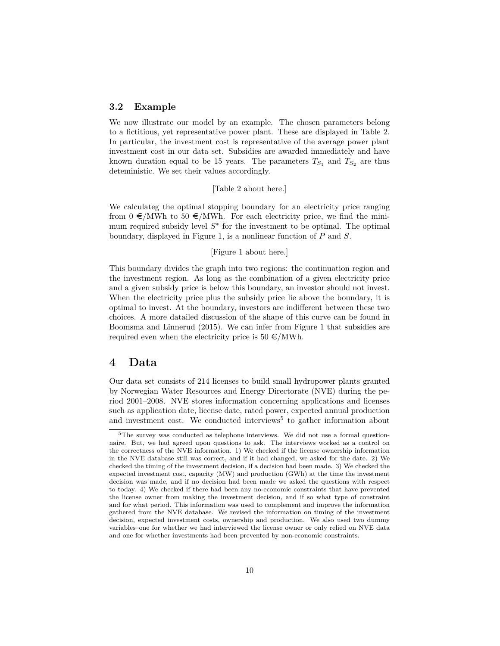### **3.2 Example**

We now illustrate our model by an example. The chosen parameters belong to a fictitious, yet representative power plant. These are displayed in Table 2. In particular, the investment cost is representative of the average power plant investment cost in our data set. Subsidies are awarded immediately and have known duration equal to be 15 years. The parameters  $T_{S_1}$  and  $T_{S_2}$  are thus deteministic. We set their values accordingly.

#### [Table 2 about here.]

We calculateg the optimal stopping boundary for an electricity price ranging from  $0 \in /MWh$  to  $50 \in /MWh$ . For each electricity price, we find the minimum required subsidy level  $S^*$  for the investment to be optimal. The optimal boundary, displayed in Figure 1, is a nonlinear function of *P* and *S*.

#### [Figure 1 about here.]

This boundary divides the graph into two regions: the continuation region and the investment region. As long as the combination of a given electricity price and a given subsidy price is below this boundary, an investor should not invest. When the electricity price plus the subsidy price lie above the boundary, it is optimal to invest. At the boundary, investors are indifferent between these two choices. A more datailed discussion of the shape of this curve can be found in Boomsma and Linnerud (2015). We can infer from Figure 1 that subsidies are required even when the electricity price is  $50 \in /MWh$ .

# **4 Data**

Our data set consists of 214 licenses to build small hydropower plants granted by Norwegian Water Resources and Energy Directorate (NVE) during the period 2001–2008. NVE stores information concerning applications and licenses such as application date, license date, rated power, expected annual production and investment cost. We conducted interviews<sup>5</sup> to gather information about

 $5$ The survey was conducted as telephone interviews. We did not use a formal questionnaire. But, we had agreed upon questions to ask. The interviews worked as a control on the correctness of the NVE information. 1) We checked if the license ownership information in the NVE database still was correct, and if it had changed, we asked for the date. 2) We checked the timing of the investment decision, if a decision had been made. 3) We checked the expected investment cost, capacity (MW) and production (GWh) at the time the investment decision was made, and if no decision had been made we asked the questions with respect to today. 4) We checked if there had been any no-economic constraints that have prevented the license owner from making the investment decision, and if so what type of constraint and for what period. This information was used to complement and improve the information gathered from the NVE database. We revised the information on timing of the investment decision, expected investment costs, ownership and production. We also used two dummy variables–one for whether we had interviewed the license owner or only relied on NVE data and one for whether investments had been prevented by non-economic constraints.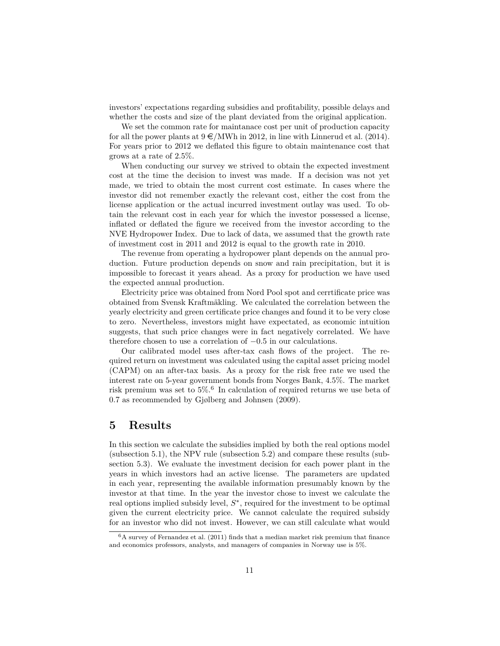investors' expectations regarding subsidies and profitability, possible delays and whether the costs and size of the plant deviated from the original application.

We set the common rate for maintanace cost per unit of production capacity for all the power plants at  $9 \in /MWh$  in 2012, in line with Linnerud et al. (2014). For years prior to 2012 we deflated this figure to obtain maintenance cost that grows at a rate of 2.5%.

When conducting our survey we strived to obtain the expected investment cost at the time the decision to invest was made. If a decision was not yet made, we tried to obtain the most current cost estimate. In cases where the investor did not remember exactly the relevant cost, either the cost from the license application or the actual incurred investment outlay was used. To obtain the relevant cost in each year for which the investor possessed a license, inflated or deflated the figure we received from the investor according to the NVE Hydropower Index. Due to lack of data, we assumed that the growth rate of investment cost in 2011 and 2012 is equal to the growth rate in 2010.

The revenue from operating a hydropower plant depends on the annual production. Future production depends on snow and rain precipitation, but it is impossible to forecast it years ahead. As a proxy for production we have used the expected annual production.

Electricity price was obtained from Nord Pool spot and cerrtificate price was obtained from Svensk Kraftmäkling. We calculated the correlation between the yearly electricity and green certificate price changes and found it to be very close to zero. Nevertheless, investors might have expectated, as economic intuition suggests, that such price changes were in fact negatively correlated. We have therefore chosen to use a correlation of −0*.*5 in our calculations.

Our calibrated model uses after-tax cash flows of the project. The required return on investment was calculated using the capital asset pricing model (CAPM) on an after-tax basis. As a proxy for the risk free rate we used the interest rate on 5-year government bonds from Norges Bank, 4.5%. The market risk premium was set to 5%.<sup>6</sup> In calculation of required returns we use beta of 0*.*7 as recommended by Gjølberg and Johnsen (2009).

# **5 Results**

In this section we calculate the subsidies implied by both the real options model (subsection 5.1), the NPV rule (subsection 5.2) and compare these results (subsection 5.3). We evaluate the investment decision for each power plant in the years in which investors had an active license. The parameters are updated in each year, representing the available information presumably known by the investor at that time. In the year the investor chose to invest we calculate the real options implied subsidy level, *S* ∗ , required for the investment to be optimal given the current electricity price. We cannot calculate the required subsidy for an investor who did not invest. However, we can still calculate what would

 $6A$  survey of Fernandez et al. (2011) finds that a median market risk premium that finance and economics professors, analysts, and managers of companies in Norway use is 5%.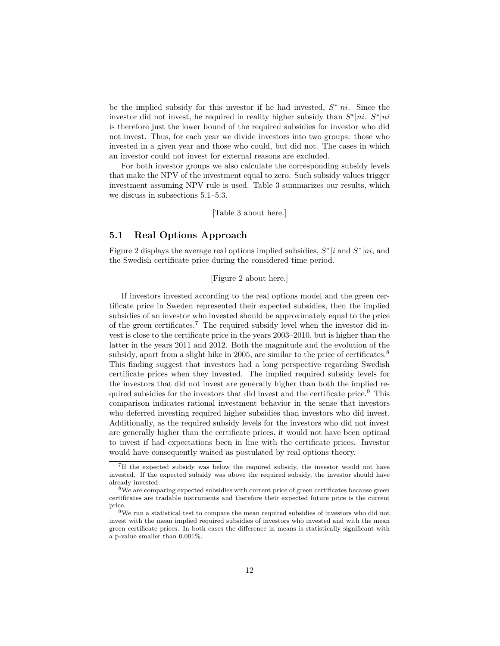be the implied subsidy for this investor if he had invested, *S* ∗ |*ni*. Since the investor did not invest, he required in reality higher subsidy than  $S^*|ni$ .  $S^*|ni$ is therefore just the lower bound of the required subsidies for investor who did not invest. Thus, for each year we divide investors into two groups: those who invested in a given year and those who could, but did not. The cases in which an investor could not invest for external reasons are excluded.

For both investor groups we also calculate the corresponding subsidy levels that make the NPV of the investment equal to zero. Such subsidy values trigger investment assuming NPV rule is used. Table 3 summarizes our results, which we discuss in subsections 5.1–5.3.

[Table 3 about here.]

### **5.1 Real Options Approach**

Figure 2 displays the average real options implied subsidies,  $S^*|i$  and  $S^*|ni$ , and the Swedish certificate price during the considered time period.

### [Figure 2 about here.]

If investors invested according to the real options model and the green certificate price in Sweden represented their expected subsidies, then the implied subsidies of an investor who invested should be approximately equal to the price of the green certificates.<sup>7</sup> The required subsidy level when the investor did invest is close to the certificate price in the years 2003–2010, but is higher than the latter in the years 2011 and 2012. Both the magnitude and the evolution of the subsidy, apart from a slight hike in 2005, are similar to the price of certificates.<sup>8</sup> This finding suggest that investors had a long perspective regarding Swedish certificate prices when they invested. The implied required subsidy levels for the investors that did not invest are generally higher than both the implied required subsidies for the investors that did invest and the certificate price.<sup>9</sup> This comparison indicates rational investment behavior in the sense that investors who deferred investing required higher subsidies than investors who did invest. Additionally, as the required subsidy levels for the investors who did not invest are generally higher than the certificate prices, it would not have been optimal to invest if had expectations been in line with the certificate prices. Investor would have consequently waited as postulated by real options theory.

<sup>&</sup>lt;sup>7</sup>If the expected subsidy was below the required subsidy, the investor would not have invested. If the expected subsidy was above the required subsidy, the investor should have already invested.

<sup>8</sup>We are comparing expected subsidies with current price of green certificates because green certificates are tradable instruments and therefore their expected future price is the current price.

 $9$ We run a statistical test to compare the mean required subsidies of investors who did not invest with the mean implied required subsidies of investors who invested and with the mean green certificate prices. In both cases the difference in means is statistically significant with a p-value smaller than 0.001%.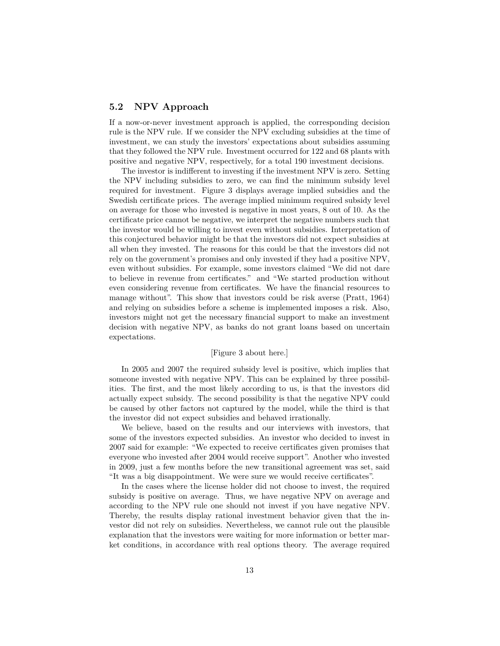## **5.2 NPV Approach**

If a now-or-never investment approach is applied, the corresponding decision rule is the NPV rule. If we consider the NPV excluding subsidies at the time of investment, we can study the investors' expectations about subsidies assuming that they followed the NPV rule. Investment occurred for 122 and 68 plants with positive and negative NPV, respectively, for a total 190 investment decisions.

The investor is indifferent to investing if the investment NPV is zero. Setting the NPV including subsidies to zero, we can find the minimum subsidy level required for investment. Figure 3 displays average implied subsidies and the Swedish certificate prices. The average implied minimum required subsidy level on average for those who invested is negative in most years, 8 out of 10. As the certificate price cannot be negative, we interpret the negative numbers such that the investor would be willing to invest even without subsidies. Interpretation of this conjectured behavior might be that the investors did not expect subsidies at all when they invested. The reasons for this could be that the investors did not rely on the government's promises and only invested if they had a positive NPV, even without subsidies. For example, some investors claimed "We did not dare to believe in revenue from certificates." and "We started production without even considering revenue from certificates. We have the financial resources to manage without". This show that investors could be risk averse (Pratt, 1964) and relying on subsidies before a scheme is implemented imposes a risk. Also, investors might not get the necessary financial support to make an investment decision with negative NPV, as banks do not grant loans based on uncertain expectations.

#### [Figure 3 about here.]

In 2005 and 2007 the required subsidy level is positive, which implies that someone invested with negative NPV. This can be explained by three possibilities. The first, and the most likely according to us, is that the investors did actually expect subsidy. The second possibility is that the negative NPV could be caused by other factors not captured by the model, while the third is that the investor did not expect subsidies and behaved irrationally.

We believe, based on the results and our interviews with investors, that some of the investors expected subsidies. An investor who decided to invest in 2007 said for example: "We expected to receive certificates given promises that everyone who invested after 2004 would receive support". Another who invested in 2009, just a few months before the new transitional agreement was set, said "It was a big disappointment. We were sure we would receive certificates".

In the cases where the license holder did not choose to invest, the required subsidy is positive on average. Thus, we have negative NPV on average and according to the NPV rule one should not invest if you have negative NPV. Thereby, the results display rational investment behavior given that the investor did not rely on subsidies. Nevertheless, we cannot rule out the plausible explanation that the investors were waiting for more information or better market conditions, in accordance with real options theory. The average required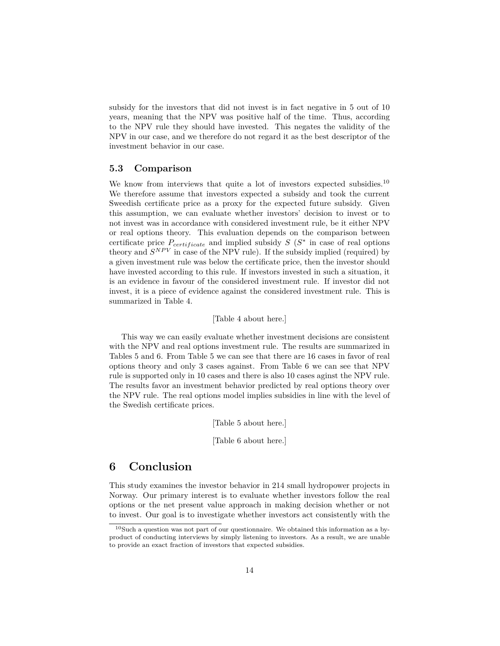subsidy for the investors that did not invest is in fact negative in 5 out of 10 years, meaning that the NPV was positive half of the time. Thus, according to the NPV rule they should have invested. This negates the validity of the NPV in our case, and we therefore do not regard it as the best descriptor of the investment behavior in our case.

### **5.3 Comparison**

We know from interviews that quite a lot of investors expected subsidies.<sup>10</sup> We therefore assume that investors expected a subsidy and took the current Sweedish certificate price as a proxy for the expected future subsidy. Given this assumption, we can evaluate whether investors' decision to invest or to not invest was in accordance with considered investment rule, be it either NPV or real options theory. This evaluation depends on the comparison between certificate price  $P_{certificance}$  and implied subsidy  $S(S^*)$  in case of real options theory and  $S^{NPV}$  in case of the NPV rule). If the subsidy implied (required) by a given investment rule was below the certificate price, then the investor should have invested according to this rule. If investors invested in such a situation, it is an evidence in favour of the considered investment rule. If investor did not invest, it is a piece of evidence against the considered investment rule. This is summarized in Table 4.

#### [Table 4 about here.]

This way we can easily evaluate whether investment decisions are consistent with the NPV and real options investment rule. The results are summarized in Tables 5 and 6. From Table 5 we can see that there are 16 cases in favor of real options theory and only 3 cases against. From Table 6 we can see that NPV rule is supported only in 10 cases and there is also 10 cases aginst the NPV rule. The results favor an investment behavior predicted by real options theory over the NPV rule. The real options model implies subsidies in line with the level of the Swedish certificate prices.

[Table 5 about here.]

[Table 6 about here.]

# **6 Conclusion**

This study examines the investor behavior in 214 small hydropower projects in Norway. Our primary interest is to evaluate whether investors follow the real options or the net present value approach in making decision whether or not to invest. Our goal is to investigate whether investors act consistently with the

 $^{10}\rm{Such}$  a question was not part of our questionnaire. We obtained this information as a byproduct of conducting interviews by simply listening to investors. As a result, we are unable to provide an exact fraction of investors that expected subsidies.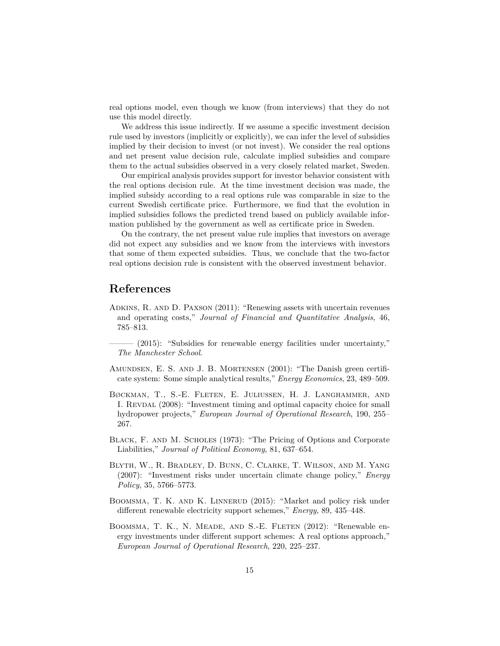real options model, even though we know (from interviews) that they do not use this model directly.

We address this issue indirectly. If we assume a specific investment decision rule used by investors (implicitly or explicitly), we can infer the level of subsidies implied by their decision to invest (or not invest). We consider the real options and net present value decision rule, calculate implied subsidies and compare them to the actual subsidies observed in a very closely related market, Sweden.

Our empirical analysis provides support for investor behavior consistent with the real options decision rule. At the time investment decision was made, the implied subsidy according to a real options rule was comparable in size to the current Swedish certificate price. Furthermore, we find that the evolution in implied subsidies follows the predicted trend based on publicly available information published by the government as well as certificate price in Sweden.

On the contrary, the net present value rule implies that investors on average did not expect any subsidies and we know from the interviews with investors that some of them expected subsidies. Thus, we conclude that the two-factor real options decision rule is consistent with the observed investment behavior.

# **References**

- Adkins, R. and D. Paxson (2011): "Renewing assets with uncertain revenues and operating costs," *Journal of Financial and Quantitative Analysis*, 46, 785–813.
- $-$  (2015): "Subsidies for renewable energy facilities under uncertainty," *The Manchester School*.
- Amundsen, E. S. and J. B. Mortensen (2001): "The Danish green certificate system: Some simple analytical results," *Energy Economics*, 23, 489–509.
- Bøckman, T., S.-E. Fleten, E. Juliussen, H. J. Langhammer, and I. REVDAL (2008): "Investment timing and optimal capacity choice for small hydropower projects," *European Journal of Operational Research*, 190, 255– 267.
- Black, F. and M. Scholes (1973): "The Pricing of Options and Corporate Liabilities," *Journal of Political Economy*, 81, 637–654.
- Blyth, W., R. Bradley, D. Bunn, C. Clarke, T. Wilson, and M. Yang (2007): "Investment risks under uncertain climate change policy," *Energy Policy*, 35, 5766–5773.
- BOOMSMA, T. K. AND K. LINNERUD (2015): "Market and policy risk under different renewable electricity support schemes," *Energy*, 89, 435–448.
- BOOMSMA, T. K., N. MEADE, AND S.-E. FLETEN (2012): "Renewable energy investments under different support schemes: A real options approach," *European Journal of Operational Research*, 220, 225–237.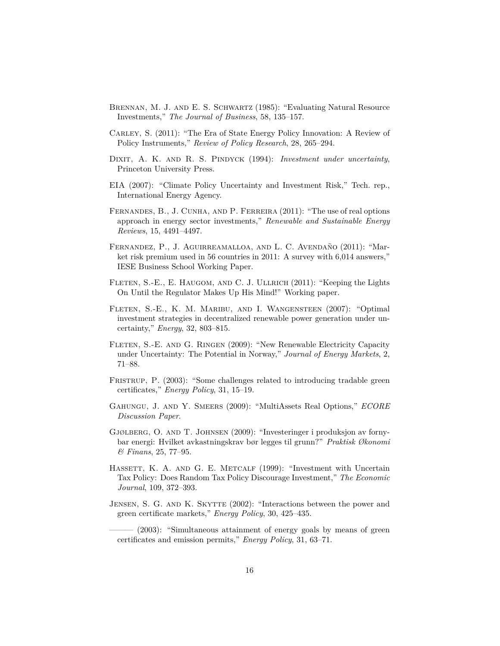- Brennan, M. J. and E. S. Schwartz (1985): "Evaluating Natural Resource Investments," *The Journal of Business*, 58, 135–157.
- Carley, S. (2011): "The Era of State Energy Policy Innovation: A Review of Policy Instruments," *Review of Policy Research*, 28, 265–294.
- DIXIT, A. K. AND R. S. PINDYCK (1994): *Investment under uncertainty*, Princeton University Press.
- EIA (2007): "Climate Policy Uncertainty and Investment Risk," Tech. rep., International Energy Agency.
- Fernandes, B., J. Cunha, and P. Ferreira (2011): "The use of real options approach in energy sector investments," *Renewable and Sustainable Energy Reviews*, 15, 4491–4497.
- Fernandez, P., J. Aguirreamalloa, and L. C. Avendaño (2011): "Market risk premium used in 56 countries in 2011: A survey with 6,014 answers," IESE Business School Working Paper.
- FLETEN, S.-E., E. HAUGOM, AND C. J. ULLRICH (2011): "Keeping the Lights On Until the Regulator Makes Up His Mind!" Working paper.
- Fleten, S.-E., K. M. Maribu, and I. Wangensteen (2007): "Optimal investment strategies in decentralized renewable power generation under uncertainty," *Energy*, 32, 803–815.
- FLETEN, S.-E. AND G. RINGEN (2009): "New Renewable Electricity Capacity under Uncertainty: The Potential in Norway," *Journal of Energy Markets*, 2, 71–88.
- FRISTRUP, P. (2003): "Some challenges related to introducing tradable green certificates," *Energy Policy*, 31, 15–19.
- Gahungu, J. and Y. Smeers (2009): "MultiAssets Real Options," *ECORE Discussion Paper*.
- Gjølberg, O. and T. Johnsen (2009): "Investeringer i produksjon av fornybar energi: Hvilket avkastningskrav bør legges til grunn?" *Praktisk Økonomi & Finans*, 25, 77–95.
- HASSETT, K. A. AND G. E. METCALF (1999): "Investment with Uncertain Tax Policy: Does Random Tax Policy Discourage Investment," *The Economic Journal*, 109, 372–393.
- JENSEN, S. G. AND K. SKYTTE (2002): "Interactions between the power and green certificate markets," *Energy Policy*, 30, 425–435.

 $(2003)$ : "Simultaneous attainment of energy goals by means of green certificates and emission permits," *Energy Policy*, 31, 63–71.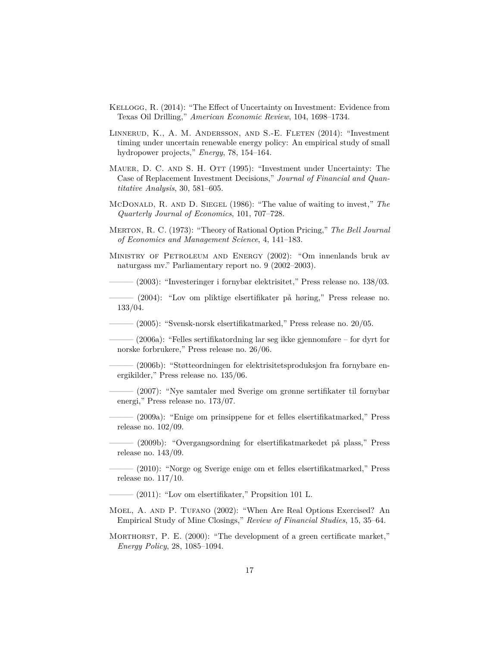- Kellogg, R. (2014): "The Effect of Uncertainty on Investment: Evidence from Texas Oil Drilling," *American Economic Review*, 104, 1698–1734.
- Linnerud, K., A. M. Andersson, and S.-E. Fleten (2014): "Investment timing under uncertain renewable energy policy: An empirical study of small hydropower projects," *Energy*, 78, 154–164.
- MAUER, D. C. AND S. H. OTT (1995): "Investment under Uncertainty: The Case of Replacement Investment Decisions," *Journal of Financial and Quantitative Analysis*, 30, 581–605.
- McDonald, R. and D. Siegel (1986): "The value of waiting to invest," *The Quarterly Journal of Economics*, 101, 707–728.
- Merton, R. C. (1973): "Theory of Rational Option Pricing," *The Bell Journal of Economics and Management Science*, 4, 141–183.
- Ministry of Petroleum and Energy (2002): "Om innenlands bruk av naturgass mv." Parliamentary report no. 9 (2002–2003).

 $-$  (2003): "Investeringer i fornybar elektrisitet," Press release no. 138/03.

——— (2004): "Lov om pliktige elsertifikater på høring," Press release no. 133/04.

——— (2005): "Svensk-norsk elsertifikatmarked," Press release no. 20/05.

 $-$  (2006a): "Felles sertifikatordning lar seg ikke gjennomføre – for dyrt for norske forbrukere," Press release no. 26/06.

 $(2006b)$ : "Støtteordningen for elektrisitetsproduksjon fra fornybare energikilder," Press release no. 135/06.

——— (2007): "Nye samtaler med Sverige om grønne sertifikater til fornybar energi," Press release no. 173/07.

——— (2009a): "Enige om prinsippene for et felles elsertifikatmarked," Press release no. 102/09.

——— (2009b): "Overgangsordning for elsertifikatmarkedet på plass," Press release no. 143/09.

——— (2010): "Norge og Sverige enige om et felles elsertifikatmarked," Press release no. 117/10.

——— (2011): "Lov om elsertifikater," Propsition 101 L.

Moel, A. and P. Tufano (2002): "When Are Real Options Exercised? An Empirical Study of Mine Closings," *Review of Financial Studies*, 15, 35–64.

MORTHORST, P. E. (2000): "The development of a green certificate market," *Energy Policy*, 28, 1085–1094.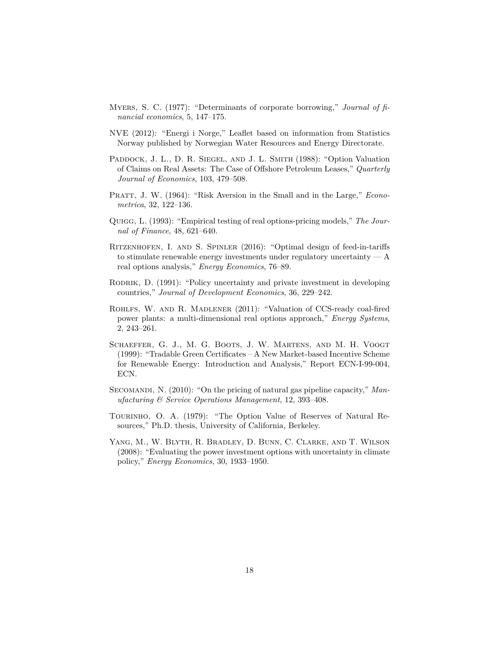- Myers, S. C. (1977): "Determinants of corporate borrowing," *Journal of financial economics*, 5, 147–175.
- NVE (2012): "Energi i Norge," Leaflet based on information from Statistics Norway published by Norwegian Water Resources and Energy Directorate.
- PADDOCK, J. L., D. R. SIEGEL, AND J. L. SMITH (1988): "Option Valuation of Claims on Real Assets: The Case of Offshore Petroleum Leases," *Quarterly Journal of Economics*, 103, 479–508.
- PRATT, J. W. (1964): "Risk Aversion in the Small and in the Large," *Econometrica*, 32, 122–136.
- Quigg, L. (1993): "Empirical testing of real options-pricing models," *The Journal of Finance*, 48, 621–640.
- Ritzenhofen, I. and S. Spinler (2016): "Optimal design of feed-in-tariffs to stimulate renewable energy investments under regulatory uncertainty — A real options analysis," *Energy Economics*, 76–89.
- RODRIK, D. (1991): "Policy uncertainty and private investment in developing countries," *Journal of Development Economics*, 36, 229–242.
- Rohlfs, W. and R. Madlener (2011): "Valuation of CCS-ready coal-fired power plants: a multi-dimensional real options approach," *Energy Systems*, 2, 243–261.
- Schaeffer, G. J., M. G. Boots, J. W. Martens, and M. H. Voogt (1999): "Tradable Green Certificates – A New Market-based Incentive Scheme for Renewable Energy: Introduction and Analysis," Report ECN-I-99-004, ECN.
- SECOMANDI, N. (2010): "On the pricing of natural gas pipeline capacity," Man*ufacturing & Service Operations Management*, 12, 393–408.
- TOURINHO, O. A. (1979): "The Option Value of Reserves of Natural Resources," Ph.D. thesis, University of California, Berkeley.
- Yang, M., W. Blyth, R. Bradley, D. Bunn, C. Clarke, and T. Wilson (2008): "Evaluating the power investment options with uncertainty in climate policy," *Energy Economics*, 30, 1933–1950.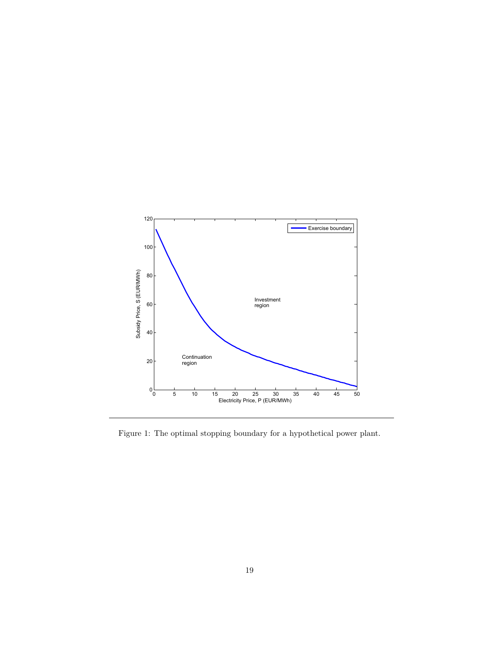

Figure 1: The optimal stopping boundary for a hypothetical power plant.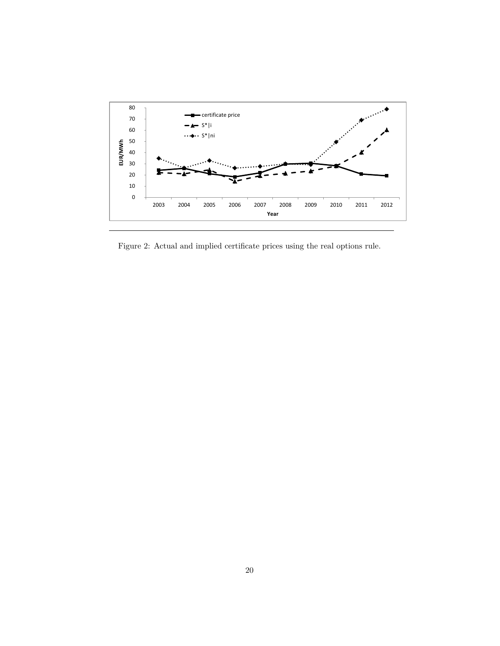

Figure 2: Actual and implied certificate prices using the real options rule.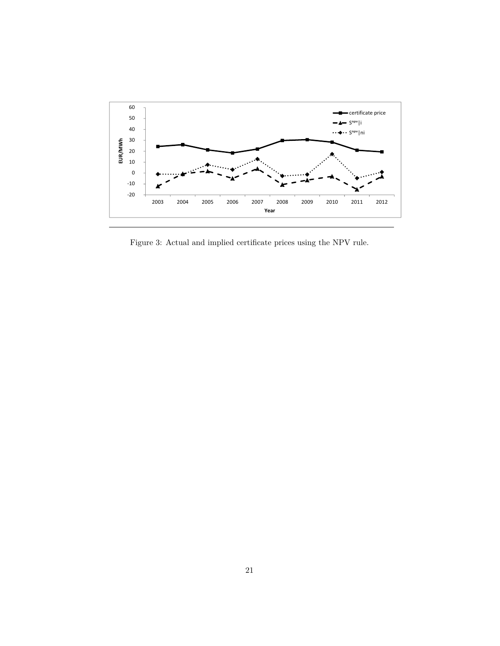

Figure 3: Actual and implied certificate prices using the NPV rule.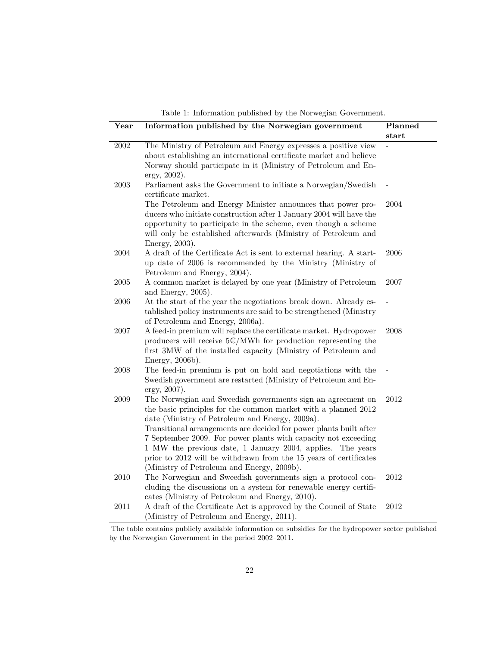|  |  | Table 1: Information published by the Norwegian Government. |
|--|--|-------------------------------------------------------------|
|  |  |                                                             |

| Year       | Information published by the Norwegian government                                                                                                                                                                                                                                                                                                                                                                                                                                                         | Planned        |
|------------|-----------------------------------------------------------------------------------------------------------------------------------------------------------------------------------------------------------------------------------------------------------------------------------------------------------------------------------------------------------------------------------------------------------------------------------------------------------------------------------------------------------|----------------|
|            |                                                                                                                                                                                                                                                                                                                                                                                                                                                                                                           | $_{\rm start}$ |
| 2002       | The Ministry of Petroleum and Energy expresses a positive view<br>about establishing an international certificate market and believe<br>Norway should participate in it (Ministry of Petroleum and En-<br>ergy, 2002).                                                                                                                                                                                                                                                                                    |                |
| 2003       | Parliament asks the Government to initiate a Norwegian/Swedish<br>certificate market.                                                                                                                                                                                                                                                                                                                                                                                                                     |                |
|            | The Petroleum and Energy Minister announces that power pro-<br>ducers who initiate construction after 1 January 2004 will have the<br>opportunity to participate in the scheme, even though a scheme<br>will only be established afterwards (Ministry of Petroleum and<br>Energy, 2003).                                                                                                                                                                                                                  | 2004           |
| 2004       | A draft of the Certificate Act is sent to external hearing. A start-<br>up date of 2006 is recommended by the Ministry (Ministry of<br>Petroleum and Energy, 2004).                                                                                                                                                                                                                                                                                                                                       | 2006           |
| $\,2005\,$ | A common market is delayed by one year (Ministry of Petroleum<br>and Energy, 2005).                                                                                                                                                                                                                                                                                                                                                                                                                       | 2007           |
| 2006       | At the start of the year the negotiations break down. Already es-<br>tablished policy instruments are said to be strengthened (Ministry<br>of Petroleum and Energy, 2006a).                                                                                                                                                                                                                                                                                                                               |                |
| 2007       | A feed-in premium will replace the certificate market. Hydropower<br>producers will receive $5\epsilon/MWh$ for production representing the<br>first 3MW of the installed capacity (Ministry of Petroleum and<br>Energy, 2006b).                                                                                                                                                                                                                                                                          | 2008           |
| 2008       | The feed-in premium is put on hold and negotiations with the<br>Swedish government are restarted (Ministry of Petroleum and En-<br>ergy, 2007).                                                                                                                                                                                                                                                                                                                                                           |                |
| 2009       | The Norwegian and Sweedish governments sign an agreement on<br>the basic principles for the common market with a planned 2012<br>date (Ministry of Petroleum and Energy, 2009a).<br>Transitional arrangements are decided for power plants built after<br>7 September 2009. For power plants with capacity not exceeding<br>1 MW the previous date, 1 January 2004, applies. The years<br>prior to 2012 will be withdrawn from the 15 years of certificates<br>(Ministry of Petroleum and Energy, 2009b). | 2012           |
| 2010       | The Norwegian and Sweedish governments sign a protocol con-<br>cluding the discussions on a system for renewable energy certifi-<br>cates (Ministry of Petroleum and Energy, 2010).                                                                                                                                                                                                                                                                                                                       | 2012           |
| 2011       | A draft of the Certificate Act is approved by the Council of State<br>(Ministry of Petroleum and Energy, 2011).                                                                                                                                                                                                                                                                                                                                                                                           | 2012           |

The table contains publicly available information on subsidies for the hydropower sector published by the Norwegian Government in the period 2002–2011.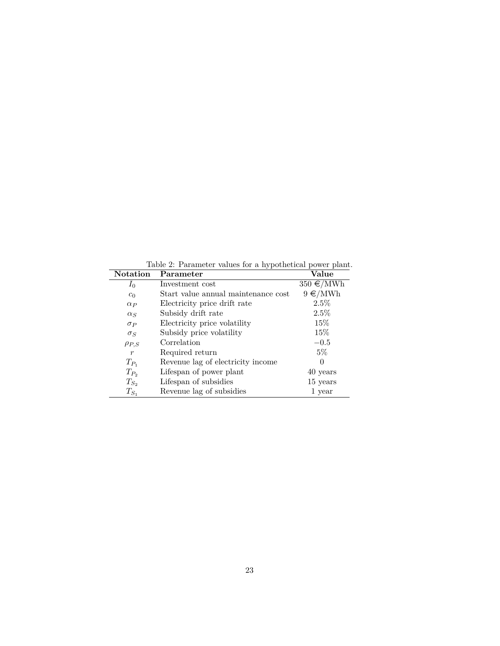Table 2: Parameter values for a hypothetical power plant.<br>Notation Parameter Value **Parameter**<br>Investment cost 350  $\epsilon/MWh$ *I*<sub>0</sub> Investment cost 350  $\epsilon/MWh$ <br>*C*<sub>0</sub> Start value annual maintenance cost 9  $\epsilon/MWh$  $c_0$  Start value annual maintenance cost *αP* Electricity price drift rate 2.5%<br>
Subsidy drift rate 2.5% *α*<sub>*S*</sub> Subsidy drift rate 2.5%<br> *σ*<sub>*P*</sub> Electricity price volatility 15% *σP* Electricity price volatility 15%<br> *σ<sub>S</sub>* Subsidy price volatility 15%  $\sigma_S$  Subsidy price volatility 15%<br>  $\sigma_{PS}$  Correlation -0.5  $\rho_{P,S}$  Correlation –0.5<br> *r* Required return 5% *r* Required return  $\begin{tabular}{ll} $T_{P_1}$ & \quad Revenue lag of electricity income \\ $T_{P_2}$ & \quad Lifespan of power plant \\ \end{tabular} \hspace{1in} 0 \hspace{1in} 40 years$  $T_{P_2}$  Lifespan of power plant 40 years  $T_{S_2}$  Lifespan of subsidies 15 years  $\begin{tabular}{ll} $T_{S_2}$ & \quad Lifespan of subsidies & \quad $15$ years \\ $T_{S_1}$ & \quad Revenue lag of subsidies & \quad $1$ year \\ \end{tabular}$ Revenue lag of subsidies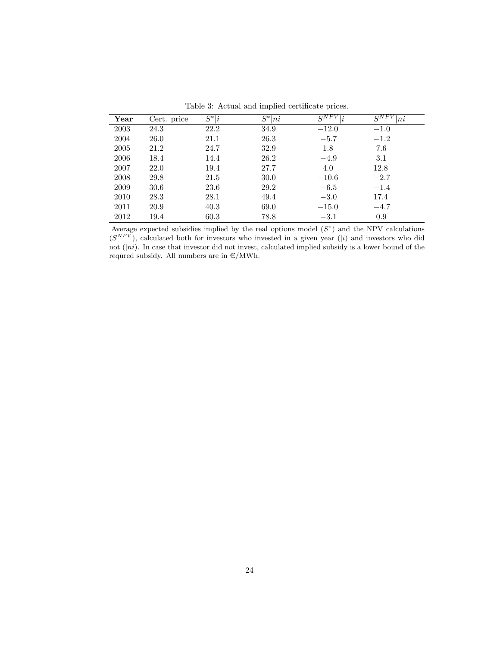| $\operatorname{Year}$ | Cert. price | $S^* i$ | $\overline{S}^*$<br> ni | $S^{NPV}$ .<br>$\left  i\right\rangle$ | $S^{NPV}$ .<br> ni |
|-----------------------|-------------|---------|-------------------------|----------------------------------------|--------------------|
| 2003                  | 24.3        | 22.2    | 34.9                    | $-12.0$                                | $-1.0$             |
| 2004                  | 26.0        | 21.1    | 26.3                    | $-5.7$                                 | $-1.2$             |
| 2005                  | 21.2        | 24.7    | 32.9                    | 1.8                                    | 7.6                |
| 2006                  | 18.4        | 14.4    | 26.2                    | $-4.9$                                 | 3.1                |
| 2007                  | 22.0        | 19.4    | 27.7                    | 4.0                                    | 12.8               |
| 2008                  | 29.8        | 21.5    | 30.0                    | $-10.6$                                | $-2.7$             |
| 2009                  | 30.6        | 23.6    | 29.2                    | $-6.5$                                 | $-1.4$             |
| 2010                  | 28.3        | 28.1    | 49.4                    | $-3.0$                                 | 17.4               |
| 2011                  | 20.9        | 40.3    | 69.0                    | $-15.0$                                | $-4.7$             |
| 2012                  | 19.4        | 60.3    | 78.8                    | $-3.1$                                 | 0.9                |

Table 3: Actual and implied certificate prices.

Average expected subsidies implied by the real options model  $(S^*)$  and the NPV calculations  $(S^{NPV})$ , calculated both for investors who invested in a given year (*i*) and investors who did not (|*ni*). In case that investor did not invest, calculated implied subsidy is a lower bound of the requred subsidy. All numbers are in  $\epsilon/MWh$ .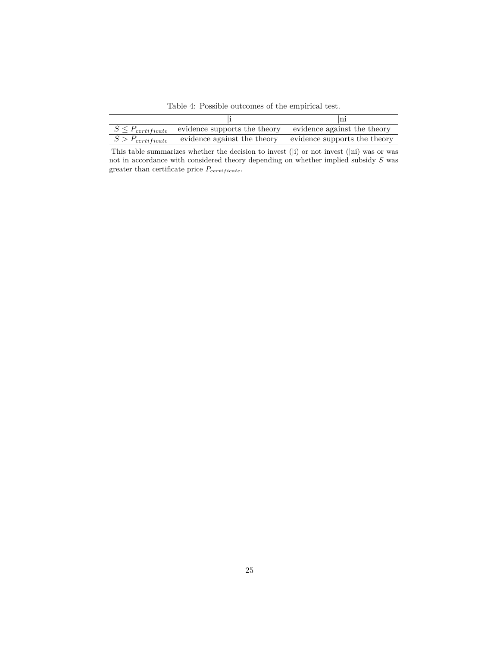Table 4: Possible outcomes of the empirical test.

| $S \leq P_{certificance}$ evidence supports the theory evidence against the theory |  |
|------------------------------------------------------------------------------------|--|
| $S > P_{certificance}$ evidence against the theory evidence supports the theory    |  |

This table summarizes whether the decision to invest (|i) or not invest (|ni) was or was not in accordance with considered theory depending on whether implied subsidy *S* was greater than certificate price  $P_{\small certificate}.$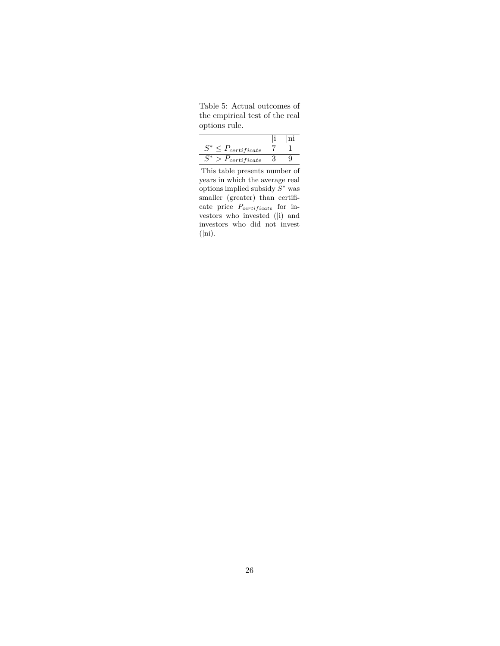Table 5: Actual outcomes of the empirical test of the real options rule.

| $'$ certificate |  |
|-----------------|--|
| $r_{certified}$ |  |

This table presents number of years in which the average real options implied subsidy *S* <sup>∗</sup> was smaller (greater) than certificate price  $P_{certificance}$  for investors who invested (|i) and investors who did not invest (|ni).